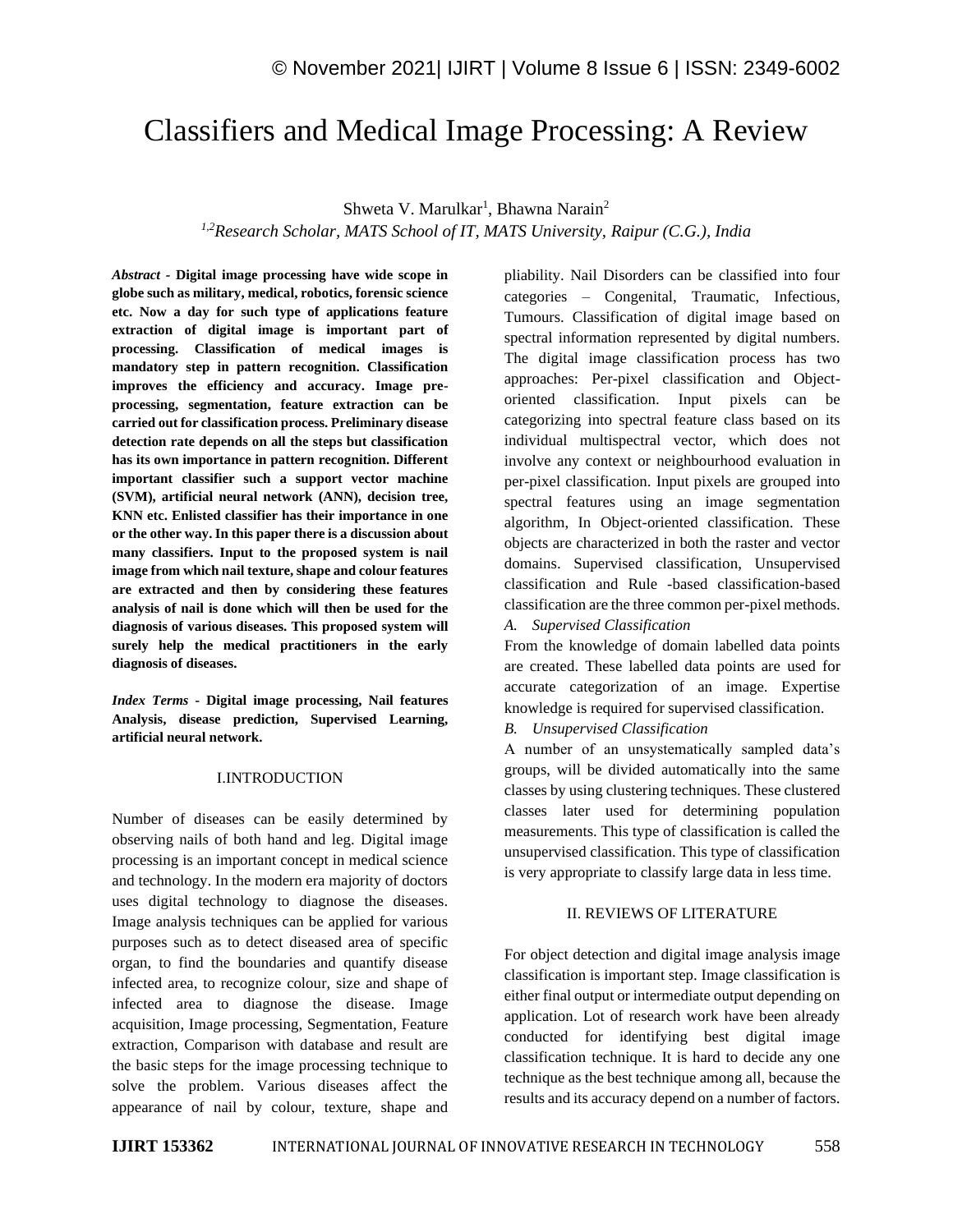# Classifiers and Medical Image Processing: A Review

Shweta V. Marulkar<sup>1</sup>, Bhawna Narain<sup>2</sup>

*1,2Research Scholar, MATS School of IT, MATS University, Raipur (C.G.), India*

*Abstract -* **Digital image processing have wide scope in globe such as military, medical, robotics, forensic science etc. Now a day for such type of applications feature extraction of digital image is important part of processing. Classification of medical images is mandatory step in pattern recognition. Classification improves the efficiency and accuracy. Image preprocessing, segmentation, feature extraction can be carried out for classification process. Preliminary disease detection rate depends on all the steps but classification has its own importance in pattern recognition. Different important classifier such a support vector machine (SVM), artificial neural network (ANN), decision tree, KNN etc. Enlisted classifier has their importance in one or the other way. In this paper there is a discussion about many classifiers. Input to the proposed system is nail image from which nail texture, shape and colour features are extracted and then by considering these features analysis of nail is done which will then be used for the diagnosis of various diseases. This proposed system will surely help the medical practitioners in the early diagnosis of diseases.**

*Index Terms -* **Digital image processing, Nail features Analysis, disease prediction, Supervised Learning, artificial neural network.**

## I.INTRODUCTION

Number of diseases can be easily determined by observing nails of both hand and leg. Digital image processing is an important concept in medical science and technology. In the modern era majority of doctors uses digital technology to diagnose the diseases. Image analysis techniques can be applied for various purposes such as to detect diseased area of specific organ, to find the boundaries and quantify disease infected area, to recognize colour, size and shape of infected area to diagnose the disease. Image acquisition, Image processing, Segmentation, Feature extraction, Comparison with database and result are the basic steps for the image processing technique to solve the problem. Various diseases affect the appearance of nail by colour, texture, shape and pliability. Nail Disorders can be classified into four categories – Congenital, Traumatic, Infectious, Tumours. Classification of digital image based on spectral information represented by digital numbers. The digital image classification process has two approaches: Per-pixel classification and Objectoriented classification. Input pixels can be categorizing into spectral feature class based on its individual multispectral vector, which does not involve any context or neighbourhood evaluation in per-pixel classification. Input pixels are grouped into spectral features using an image segmentation algorithm, In Object-oriented classification. These objects are characterized in both the raster and vector domains. Supervised classification, Unsupervised classification and Rule -based classification-based classification are the three common per-pixel methods.

*A. Supervised Classification*

From the knowledge of domain labelled data points are created. These labelled data points are used for accurate categorization of an image. Expertise knowledge is required for supervised classification.

*B. Unsupervised Classification*

A number of an unsystematically sampled data's groups, will be divided automatically into the same classes by using clustering techniques. These clustered classes later used for determining population measurements. This type of classification is called the unsupervised classification. This type of classification is very appropriate to classify large data in less time.

## II. REVIEWS OF LITERATURE

For object detection and digital image analysis image classification is important step. Image classification is either final output or intermediate output depending on application. Lot of research work have been already conducted for identifying best digital image classification technique. It is hard to decide any one technique as the best technique among all, because the results and its accuracy depend on a number of factors.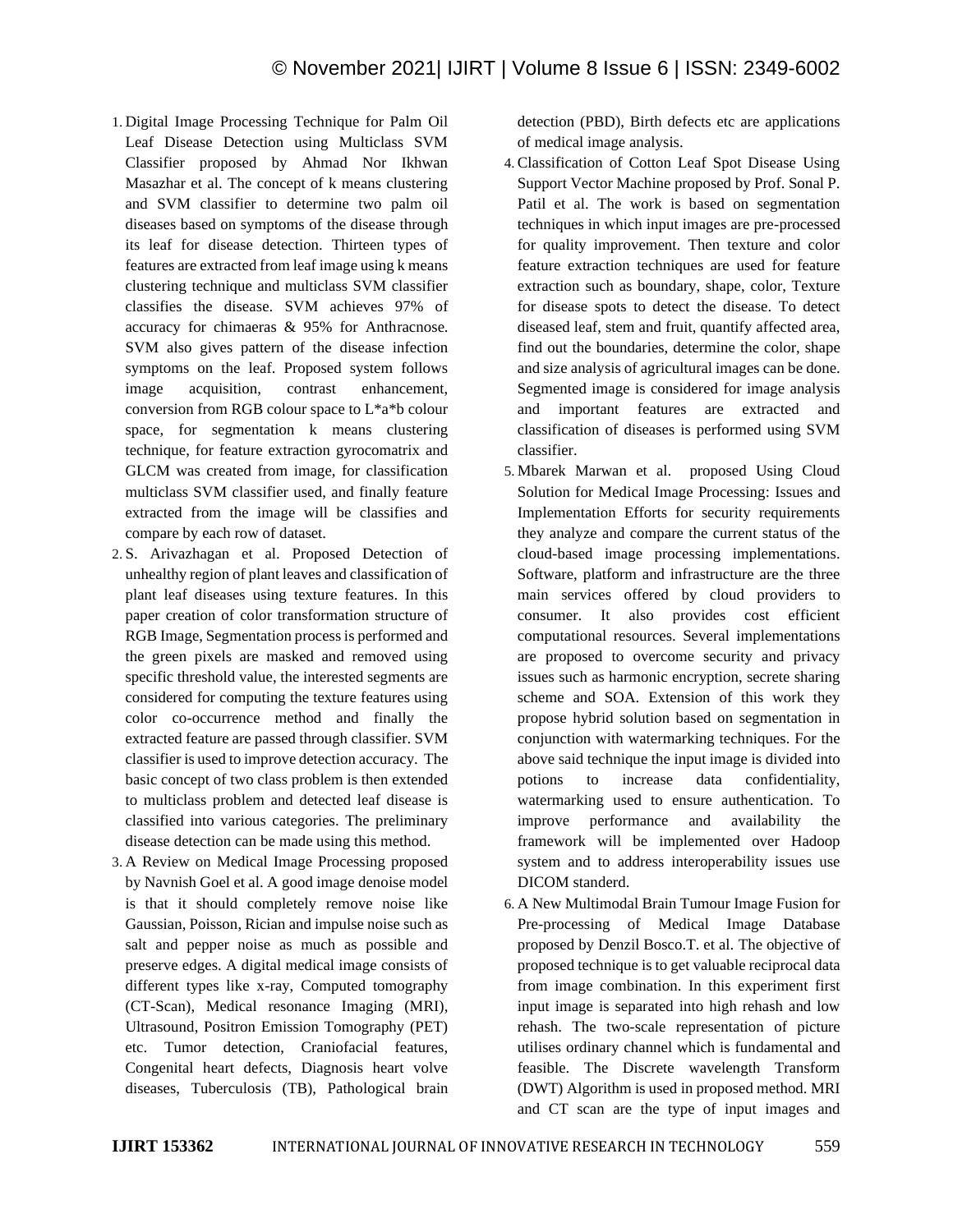- 1. Digital Image Processing Technique for Palm Oil Leaf Disease Detection using Multiclass SVM Classifier proposed by Ahmad Nor Ikhwan Masazhar et al. The concept of k means clustering and SVM classifier to determine two palm oil diseases based on symptoms of the disease through its leaf for disease detection. Thirteen types of features are extracted from leaf image using k means clustering technique and multiclass SVM classifier classifies the disease. SVM achieves 97% of accuracy for chimaeras & 95% for Anthracnose. SVM also gives pattern of the disease infection symptoms on the leaf. Proposed system follows image acquisition, contrast enhancement, conversion from RGB colour space to L\*a\*b colour space, for segmentation k means clustering technique, for feature extraction gyrocomatrix and GLCM was created from image, for classification multiclass SVM classifier used, and finally feature extracted from the image will be classifies and compare by each row of dataset.
- 2. S. Arivazhagan et al. Proposed Detection of unhealthy region of plant leaves and classification of plant leaf diseases using texture features. In this paper creation of color transformation structure of RGB Image, Segmentation process is performed and the green pixels are masked and removed using specific threshold value, the interested segments are considered for computing the texture features using color co-occurrence method and finally the extracted feature are passed through classifier. SVM classifier is used to improve detection accuracy. The basic concept of two class problem is then extended to multiclass problem and detected leaf disease is classified into various categories. The preliminary disease detection can be made using this method.
- 3. A Review on Medical Image Processing proposed by Navnish Goel et al. A good image denoise model is that it should completely remove noise like Gaussian, Poisson, Rician and impulse noise such as salt and pepper noise as much as possible and preserve edges. A digital medical image consists of different types like x-ray, Computed tomography (CT-Scan), Medical resonance Imaging (MRI), Ultrasound, Positron Emission Tomography (PET) etc. Tumor detection, Craniofacial features, Congenital heart defects, Diagnosis heart volve diseases, Tuberculosis (TB), Pathological brain

detection (PBD), Birth defects etc are applications of medical image analysis.

- 4. Classification of Cotton Leaf Spot Disease Using Support Vector Machine proposed by Prof. Sonal P. Patil et al. The work is based on segmentation techniques in which input images are pre-processed for quality improvement. Then texture and color feature extraction techniques are used for feature extraction such as boundary, shape, color, Texture for disease spots to detect the disease. To detect diseased leaf, stem and fruit, quantify affected area, find out the boundaries, determine the color, shape and size analysis of agricultural images can be done. Segmented image is considered for image analysis and important features are extracted and classification of diseases is performed using SVM classifier.
- 5. Mbarek Marwan et al. proposed Using Cloud Solution for Medical Image Processing: Issues and Implementation Efforts for security requirements they analyze and compare the current status of the cloud-based image processing implementations. Software, platform and infrastructure are the three main services offered by cloud providers to consumer. It also provides cost efficient computational resources. Several implementations are proposed to overcome security and privacy issues such as harmonic encryption, secrete sharing scheme and SOA. Extension of this work they propose hybrid solution based on segmentation in conjunction with watermarking techniques. For the above said technique the input image is divided into potions to increase data confidentiality, watermarking used to ensure authentication. To improve performance and availability the framework will be implemented over Hadoop system and to address interoperability issues use DICOM standerd.
- 6. A New Multimodal Brain Tumour Image Fusion for Pre-processing of Medical Image Database proposed by Denzil Bosco.T. et al. The objective of proposed technique is to get valuable reciprocal data from image combination. In this experiment first input image is separated into high rehash and low rehash. The two-scale representation of picture utilises ordinary channel which is fundamental and feasible. The Discrete wavelength Transform (DWT) Algorithm is used in proposed method. MRI and CT scan are the type of input images and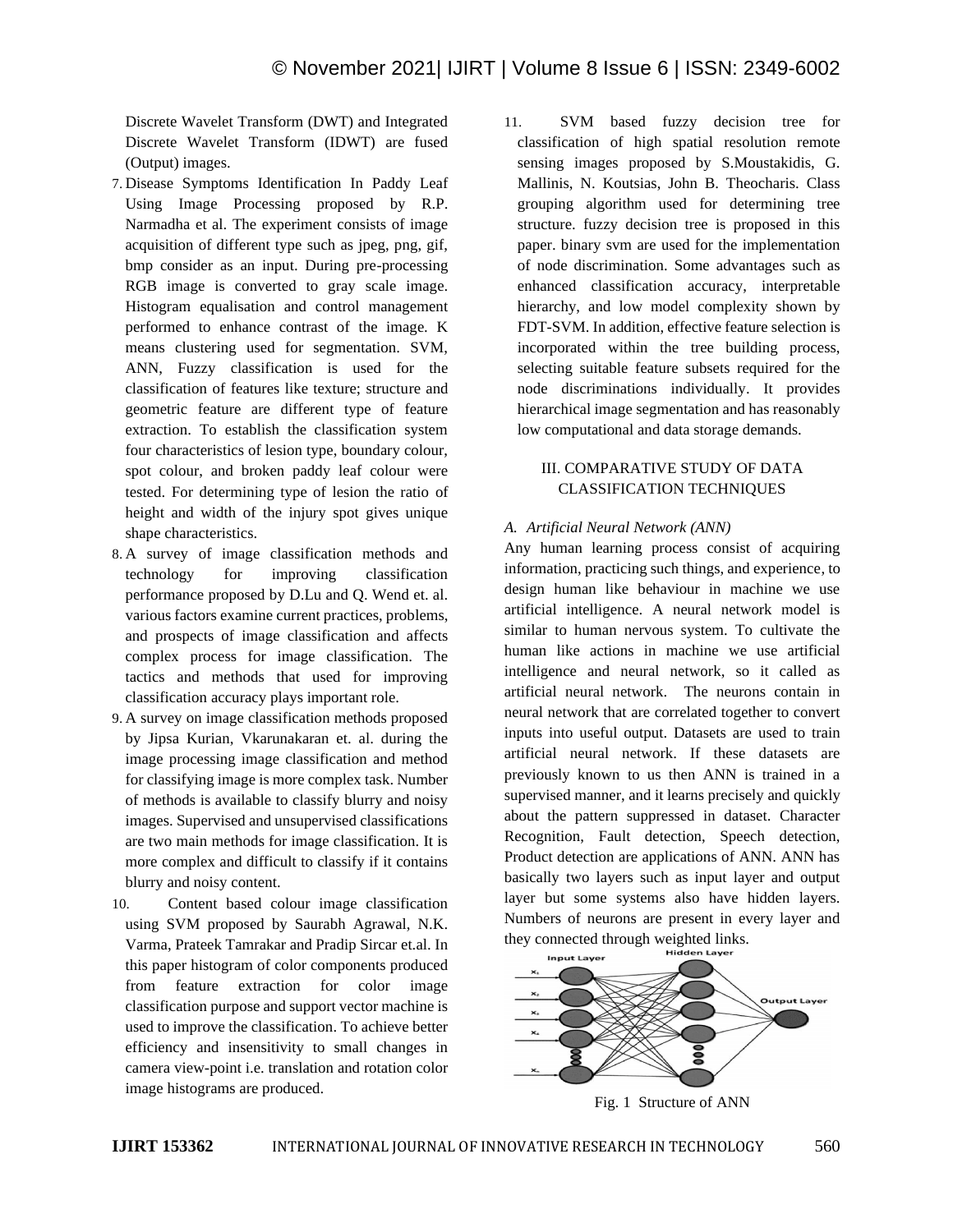Discrete Wavelet Transform (DWT) and Integrated Discrete Wavelet Transform (IDWT) are fused (Output) images.

- 7. Disease Symptoms Identification In Paddy Leaf Using Image Processing proposed by R.P. Narmadha et al. The experiment consists of image acquisition of different type such as jpeg, png, gif, bmp consider as an input. During pre-processing RGB image is converted to gray scale image. Histogram equalisation and control management performed to enhance contrast of the image. K means clustering used for segmentation. SVM, ANN, Fuzzy classification is used for the classification of features like texture; structure and geometric feature are different type of feature extraction. To establish the classification system four characteristics of lesion type, boundary colour, spot colour, and broken paddy leaf colour were tested. For determining type of lesion the ratio of height and width of the injury spot gives unique shape characteristics.
- 8. A survey of image classification methods and technology for improving classification performance proposed by D.Lu and Q. Wend et. al. various factors examine current practices, problems, and prospects of image classification and affects complex process for image classification. The tactics and methods that used for improving classification accuracy plays important role.
- 9. A survey on image classification methods proposed by Jipsa Kurian, Vkarunakaran et. al. during the image processing image classification and method for classifying image is more complex task. Number of methods is available to classify blurry and noisy images. Supervised and unsupervised classifications are two main methods for image classification. It is more complex and difficult to classify if it contains blurry and noisy content.
- 10. Content based colour image classification using SVM proposed by Saurabh Agrawal, N.K. Varma, Prateek Tamrakar and Pradip Sircar et.al. In this paper histogram of color components produced from feature extraction for color image classification purpose and support vector machine is used to improve the classification. To achieve better efficiency and insensitivity to small changes in camera view-point i.e. translation and rotation color image histograms are produced.

11. SVM based fuzzy decision tree for classification of high spatial resolution remote sensing images proposed by S.Moustakidis, G. Mallinis, N. Koutsias, John B. Theocharis. Class grouping algorithm used for determining tree structure. fuzzy decision tree is proposed in this paper. binary svm are used for the implementation of node discrimination. Some advantages such as enhanced classification accuracy, interpretable hierarchy, and low model complexity shown by FDT-SVM. In addition, effective feature selection is incorporated within the tree building process, selecting suitable feature subsets required for the node discriminations individually. It provides hierarchical image segmentation and has reasonably low computational and data storage demands.

## III. COMPARATIVE STUDY OF DATA CLASSIFICATION TECHNIQUES

## *A. Artificial Neural Network (ANN)*

Any human learning process consist of acquiring information, practicing such things, and experience, to design human like behaviour in machine we use artificial intelligence. A neural network model is similar to human nervous system. To cultivate the human like actions in machine we use artificial intelligence and neural network, so it called as artificial neural network. The neurons contain in neural network that are correlated together to convert inputs into useful output. Datasets are used to train artificial neural network. If these datasets are previously known to us then ANN is trained in a supervised manner, and it learns precisely and quickly about the pattern suppressed in dataset. Character Recognition, Fault detection, Speech detection, Product detection are applications of ANN. ANN has basically two layers such as input layer and output layer but some systems also have hidden layers. Numbers of neurons are present in every layer and they connected through weighted links.



Fig. 1 Structure of ANN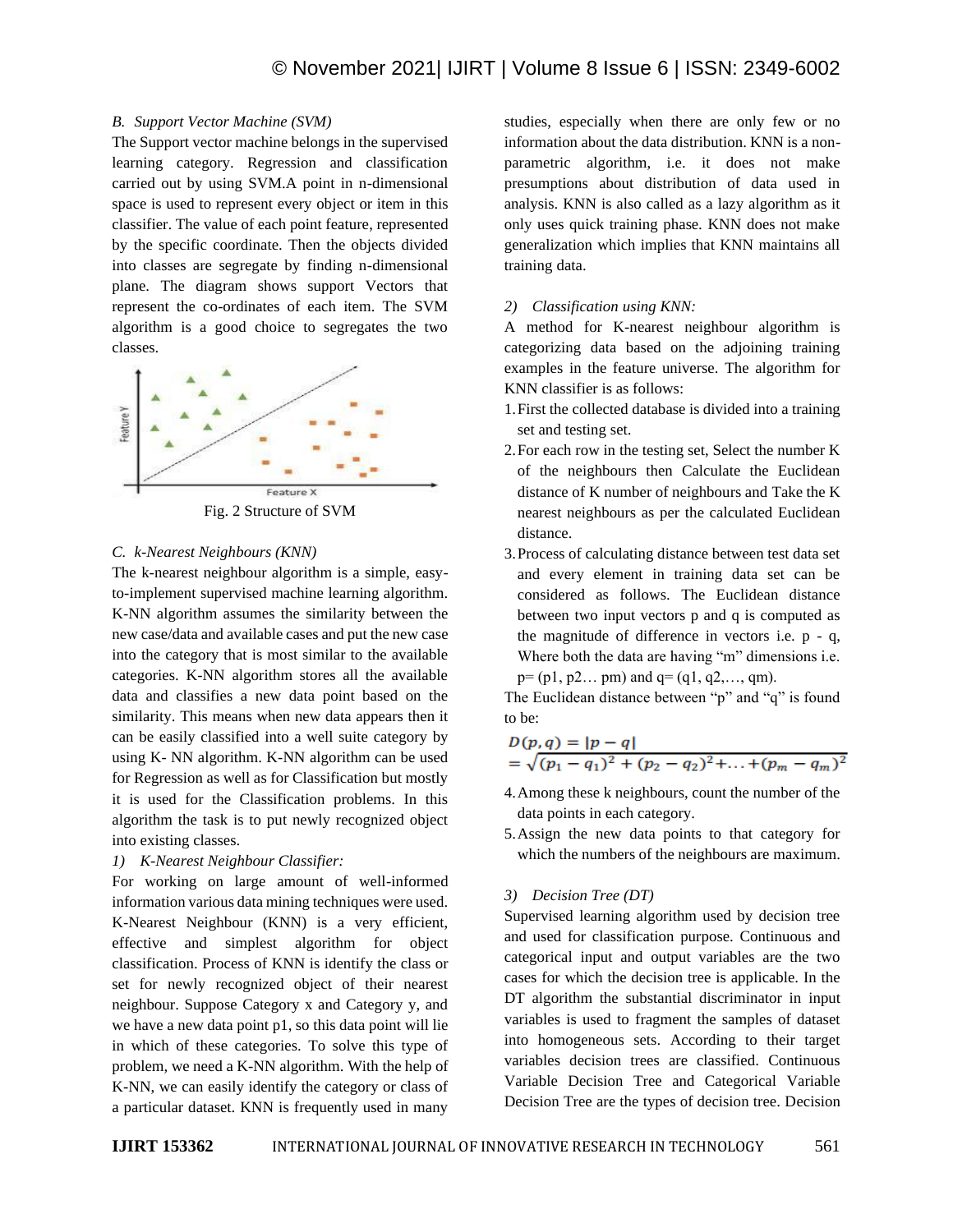## *B. Support Vector Machine (SVM)*

The Support vector machine belongs in the supervised learning category. Regression and classification carried out by using SVM.A point in n-dimensional space is used to represent every object or item in this classifier. The value of each point feature, represented by the specific coordinate. Then the objects divided into classes are segregate by finding n-dimensional plane. The diagram shows support Vectors that represent the co-ordinates of each item. The SVM algorithm is a good choice to segregates the two classes.



#### *C. k-Nearest Neighbours (KNN)*

The k-nearest neighbour algorithm is a simple, easyto-implement supervised machine learning algorithm. K-NN algorithm assumes the similarity between the new case/data and available cases and put the new case into the category that is most similar to the available categories. K-NN algorithm stores all the available data and classifies a new data point based on the similarity. This means when new data appears then it can be easily classified into a well suite category by using K- NN algorithm. K-NN algorithm can be used for Regression as well as for Classification but mostly it is used for the Classification problems. In this algorithm the task is to put newly recognized object into existing classes.

## *1) K-Nearest Neighbour Classifier:*

For working on large amount of well-informed information various data mining techniques were used. K-Nearest Neighbour (KNN) is a very efficient, effective and simplest algorithm for object classification. Process of KNN is identify the class or set for newly recognized object of their nearest neighbour. Suppose Category x and Category y, and we have a new data point p1, so this data point will lie in which of these categories. To solve this type of problem, we need a K-NN algorithm. With the help of K-NN, we can easily identify the category or class of a particular dataset. KNN is frequently used in many studies, especially when there are only few or no information about the data distribution. KNN is a nonparametric algorithm, i.e. it does not make presumptions about distribution of data used in analysis. KNN is also called as a lazy algorithm as it only uses quick training phase. KNN does not make generalization which implies that KNN maintains all training data.

## *2) Classification using KNN:*

A method for K-nearest neighbour algorithm is categorizing data based on the adjoining training examples in the feature universe. The algorithm for KNN classifier is as follows:

- 1.First the collected database is divided into a training set and testing set.
- 2.For each row in the testing set, Select the number K of the neighbours then Calculate the Euclidean distance of K number of neighbours and Take the K nearest neighbours as per the calculated Euclidean distance.
- 3.Process of calculating distance between test data set and every element in training data set can be considered as follows. The Euclidean distance between two input vectors p and q is computed as the magnitude of difference in vectors i.e. p - q, Where both the data are having "m" dimensions i.e.  $p=(p1, p2... pm)$  and  $q=(q1, q2,..., qm)$ .

The Euclidean distance between "p" and "q" is found to be:

$$
D(p,q) = |p - q|
$$
  
=  $\sqrt{(p_1 - q_1)^2 + (p_2 - q_2)^2 + \dots + (p_m - q_m)^2}$ 

- 4.Among these k neighbours, count the number of the data points in each category.
- 5.Assign the new data points to that category for which the numbers of the neighbours are maximum.

## *3) Decision Tree (DT)*

Supervised learning algorithm used by decision tree and used for classification purpose. Continuous and categorical input and output variables are the two cases for which the decision tree is applicable. In the DT algorithm the substantial discriminator in input variables is used to fragment the samples of dataset into homogeneous sets. According to their target variables decision trees are classified. Continuous Variable Decision Tree and Categorical Variable Decision Tree are the types of decision tree. Decision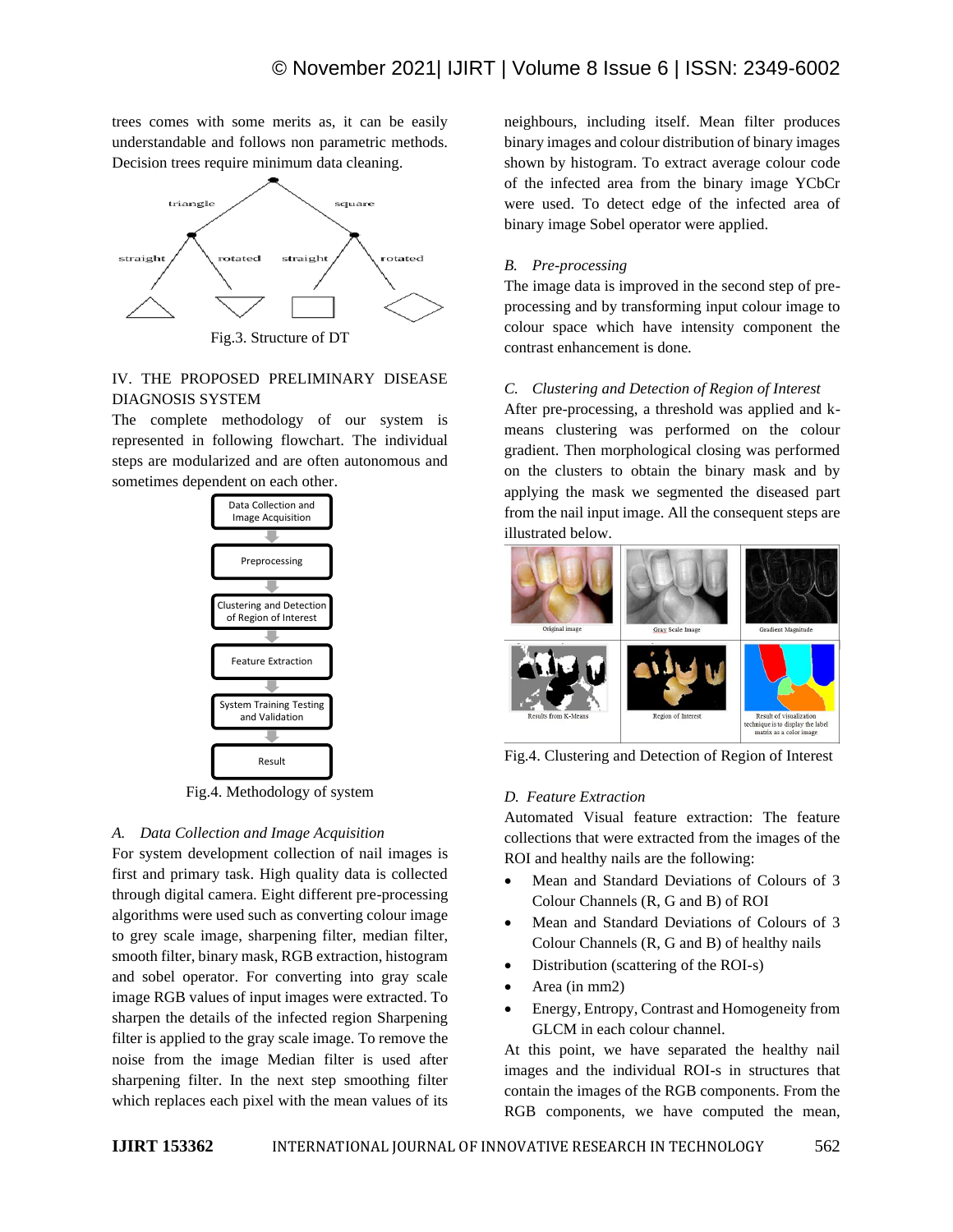trees comes with some merits as, it can be easily understandable and follows non parametric methods. Decision trees require minimum data cleaning.



# IV. THE PROPOSED PRELIMINARY DISEASE DIAGNOSIS SYSTEM

The complete methodology of our system is represented in following flowchart. The individual steps are modularized and are often autonomous and sometimes dependent on each other.



Fig.4. Methodology of system

# *A. Data Collection and Image Acquisition*

For system development collection of nail images is first and primary task. High quality data is collected through digital camera. Eight different pre-processing algorithms were used such as converting colour image to grey scale image, sharpening filter, median filter, smooth filter, binary mask, RGB extraction, histogram and sobel operator. For converting into gray scale image RGB values of input images were extracted. To sharpen the details of the infected region Sharpening filter is applied to the gray scale image. To remove the noise from the image Median filter is used after sharpening filter. In the next step smoothing filter which replaces each pixel with the mean values of its

neighbours, including itself. Mean filter produces binary images and colour distribution of binary images shown by histogram. To extract average colour code of the infected area from the binary image YCbCr were used. To detect edge of the infected area of binary image Sobel operator were applied.

# *B. Pre-processing*

The image data is improved in the second step of preprocessing and by transforming input colour image to colour space which have intensity component the contrast enhancement is done.

# *C. Clustering and Detection of Region of Interest*

After pre-processing, a threshold was applied and kmeans clustering was performed on the colour gradient. Then morphological closing was performed on the clusters to obtain the binary mask and by applying the mask we segmented the diseased part from the nail input image. All the consequent steps are illustrated below.



Fig.4. Clustering and Detection of Region of Interest

## *D. Feature Extraction*

Automated Visual feature extraction: The feature collections that were extracted from the images of the ROI and healthy nails are the following:

- Mean and Standard Deviations of Colours of 3 Colour Channels (R, G and B) of ROI
- Mean and Standard Deviations of Colours of 3 Colour Channels (R, G and B) of healthy nails
- Distribution (scattering of the ROI-s)
- Area (in mm2)
- Energy, Entropy, Contrast and Homogeneity from GLCM in each colour channel.

At this point, we have separated the healthy nail images and the individual ROI-s in structures that contain the images of the RGB components. From the RGB components, we have computed the mean,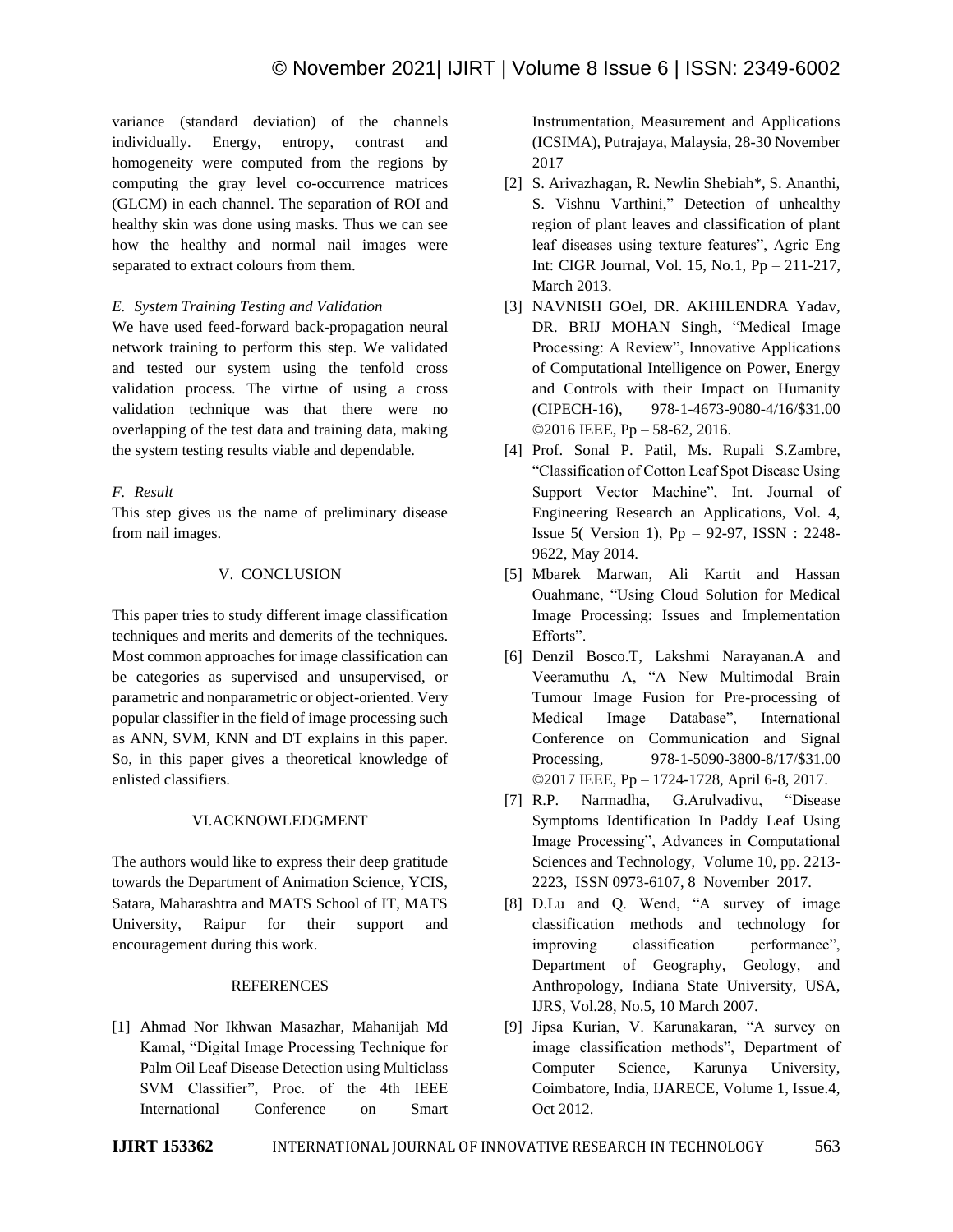variance (standard deviation) of the channels individually. Energy, entropy, contrast and homogeneity were computed from the regions by computing the gray level co-occurrence matrices (GLCM) in each channel. The separation of ROI and healthy skin was done using masks. Thus we can see how the healthy and normal nail images were separated to extract colours from them.

## *E. System Training Testing and Validation*

We have used feed-forward back-propagation neural network training to perform this step. We validated and tested our system using the tenfold cross validation process. The virtue of using a cross validation technique was that there were no overlapping of the test data and training data, making the system testing results viable and dependable.

# *F. Result*

This step gives us the name of preliminary disease from nail images.

# V. CONCLUSION

This paper tries to study different image classification techniques and merits and demerits of the techniques. Most common approaches for image classification can be categories as supervised and unsupervised, or parametric and nonparametric or object-oriented. Very popular classifier in the field of image processing such as ANN, SVM, KNN and DT explains in this paper. So, in this paper gives a theoretical knowledge of enlisted classifiers.

# VI.ACKNOWLEDGMENT

The authors would like to express their deep gratitude towards the Department of Animation Science, YCIS, Satara, Maharashtra and MATS School of IT, MATS University, Raipur for their support and encouragement during this work.

## REFERENCES

[1] Ahmad Nor Ikhwan Masazhar, Mahanijah Md Kamal, "Digital Image Processing Technique for Palm Oil Leaf Disease Detection using Multiclass SVM Classifier", Proc. of the 4th IEEE International Conference on Smart

Instrumentation, Measurement and Applications (ICSIMA), Putrajaya, Malaysia, 28-30 November 2017

- [2] S. Arivazhagan, R. Newlin Shebiah\*, S. Ananthi, S. Vishnu Varthini," Detection of unhealthy region of plant leaves and classification of plant leaf diseases using texture features", Agric Eng Int: CIGR Journal, Vol. 15, No.1, Pp – 211-217, March 2013.
- [3] NAVNISH GOel, DR. AKHILENDRA Yadav, DR. BRIJ MOHAN Singh, "Medical Image Processing: A Review", Innovative Applications of Computational Intelligence on Power, Energy and Controls with their Impact on Humanity (CIPECH-16), 978-1-4673-9080-4/16/\$31.00 ©2016 IEEE, Pp – 58-62, 2016.
- [4] Prof. Sonal P. Patil, Ms. Rupali S.Zambre, "Classification of Cotton Leaf Spot Disease Using Support Vector Machine", Int. Journal of Engineering Research an Applications, Vol. 4, Issue 5( Version 1), Pp – 92-97, ISSN : 2248- 9622, May 2014.
- [5] Mbarek Marwan, Ali Kartit and Hassan Ouahmane, "Using Cloud Solution for Medical Image Processing: Issues and Implementation Efforts".
- [6] Denzil Bosco.T, Lakshmi Narayanan.A and Veeramuthu A, "A New Multimodal Brain Tumour Image Fusion for Pre-processing of Medical Image Database", International Conference on Communication and Signal Processing, 978-1-5090-3800-8/17/\$31.00 ©2017 IEEE, Pp – 1724-1728, April 6-8, 2017.
- [7] R.P. Narmadha, G.Arulvadivu, "Disease Symptoms Identification In Paddy Leaf Using Image Processing", Advances in Computational Sciences and Technology, Volume 10, pp. 2213- 2223, ISSN 0973-6107, 8 November 2017.
- [8] D.Lu and Q. Wend, "A survey of image classification methods and technology for improving classification performance", Department of Geography, Geology, and Anthropology, Indiana State University, USA, IJRS, Vol.28, No.5, 10 March 2007.
- [9] Jipsa Kurian, V. Karunakaran, "A survey on image classification methods", Department of Computer Science, Karunya University, Coimbatore, India, IJARECE, Volume 1, Issue.4, Oct 2012.